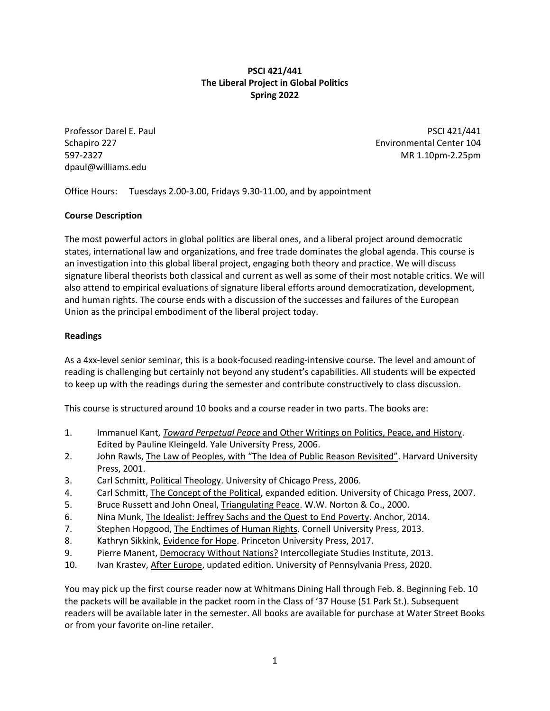# **PSCI 421/441 The Liberal Project in Global Politics Spring 2022**

dpaul@williams.edu

Professor Darel E. Paul Professor Darel E. Paul PSCI 421/441 Schapiro 227 Environmental Center 104 597-2327 MR 1.10pm-2.25pm

Office Hours: Tuesdays 2.00-3.00, Fridays 9.30-11.00, and by appointment

### **Course Description**

The most powerful actors in global politics are liberal ones, and a liberal project around democratic states, international law and organizations, and free trade dominates the global agenda. This course is an investigation into this global liberal project, engaging both theory and practice. We will discuss signature liberal theorists both classical and current as well as some of their most notable critics. We will also attend to empirical evaluations of signature liberal efforts around democratization, development, and human rights. The course ends with a discussion of the successes and failures of the European Union as the principal embodiment of the liberal project today.

### **Readings**

As a 4xx-level senior seminar, this is a book-focused reading-intensive course. The level and amount of reading is challenging but certainly not beyond any student's capabilities. All students will be expected to keep up with the readings during the semester and contribute constructively to class discussion.

This course is structured around 10 books and a course reader in two parts. The books are:

- 1. Immanuel Kant, *Toward Perpetual Peace* and Other Writings on Politics, Peace, and History. Edited by Pauline Kleingeld. Yale University Press, 2006.
- 2. John Rawls, The Law of Peoples, with "The Idea of Public Reason Revisited". Harvard University Press, 2001.
- 3. Carl Schmitt, Political Theology. University of Chicago Press, 2006.
- 4. Carl Schmitt, The Concept of the Political, expanded edition. University of Chicago Press, 2007.
- 5. Bruce Russett and John Oneal, Triangulating Peace. W.W. Norton & Co., 2000.
- 6. Nina Munk, The Idealist: Jeffrey Sachs and the Quest to End Poverty. Anchor, 2014.
- 7. Stephen Hopgood, The Endtimes of Human Rights. Cornell University Press, 2013.
- 8. Kathryn Sikkink, Evidence for Hope. Princeton University Press, 2017.
- 9. Pierre Manent, Democracy Without Nations? Intercollegiate Studies Institute, 2013.
- 10. Ivan Krastev, After Europe, updated edition. University of Pennsylvania Press, 2020.

You may pick up the first course reader now at Whitmans Dining Hall through Feb. 8. Beginning Feb. 10 the packets will be available in the packet room in the Class of '37 House (51 Park St.). Subsequent readers will be available later in the semester. All books are available for purchase at Water Street Books or from your favorite on-line retailer.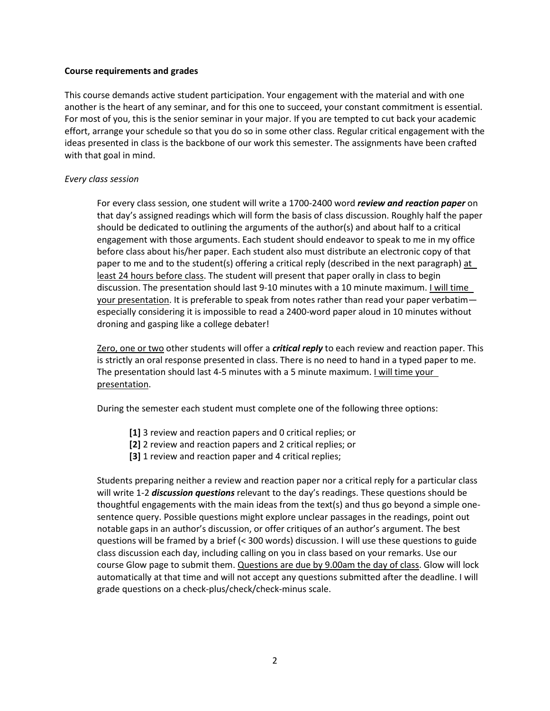### **Course requirements and grades**

This course demands active student participation. Your engagement with the material and with one another is the heart of any seminar, and for this one to succeed, your constant commitment is essential. For most of you, this is the senior seminar in your major. If you are tempted to cut back your academic effort, arrange your schedule so that you do so in some other class. Regular critical engagement with the ideas presented in class is the backbone of our work this semester. The assignments have been crafted with that goal in mind.

### *Every class session*

For every class session, one student will write a 1700-2400 word *review and reaction paper* on that day's assigned readings which will form the basis of class discussion. Roughly half the paper should be dedicated to outlining the arguments of the author(s) and about half to a critical engagement with those arguments. Each student should endeavor to speak to me in my office before class about his/her paper. Each student also must distribute an electronic copy of that paper to me and to the student(s) offering a critical reply (described in the next paragraph) at least 24 hours before class. The student will present that paper orally in class to begin discussion. The presentation should last 9-10 minutes with a 10 minute maximum. I will time your presentation. It is preferable to speak from notes rather than read your paper verbatimespecially considering it is impossible to read a 2400-word paper aloud in 10 minutes without droning and gasping like a college debater!

Zero, one or two other students will offer a *critical reply* to each review and reaction paper. This is strictly an oral response presented in class. There is no need to hand in a typed paper to me. The presentation should last 4-5 minutes with a 5 minute maximum. I will time your presentation.

During the semester each student must complete one of the following three options:

- **[1]** 3 review and reaction papers and 0 critical replies; or
- **[2]** 2 review and reaction papers and 2 critical replies; or
- **[3]** 1 review and reaction paper and 4 critical replies;

Students preparing neither a review and reaction paper nor a critical reply for a particular class will write 1-2 *discussion questions* relevant to the day's readings. These questions should be thoughtful engagements with the main ideas from the text(s) and thus go beyond a simple onesentence query. Possible questions might explore unclear passages in the readings, point out notable gaps in an author's discussion, or offer critiques of an author's argument. The best questions will be framed by a brief (< 300 words) discussion. I will use these questions to guide class discussion each day, including calling on you in class based on your remarks. Use our course Glow page to submit them. Questions are due by 9.00am the day of class. Glow will lock automatically at that time and will not accept any questions submitted after the deadline. I will grade questions on a check-plus/check/check-minus scale.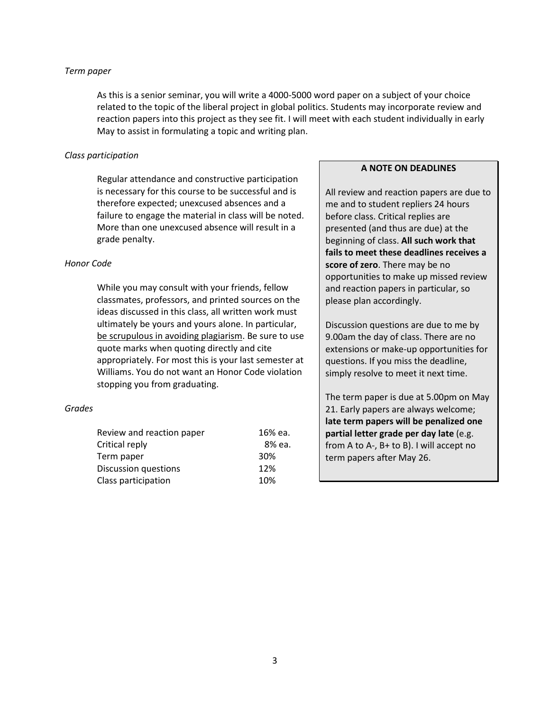### *Term paper*

As this is a senior seminar, you will write a 4000-5000 word paper on a subject of your choice related to the topic of the liberal project in global politics. Students may incorporate review and reaction papers into this project as they see fit. I will meet with each student individually in early May to assist in formulating a topic and writing plan.

### *Class participation*

Regular attendance and constructive participation is necessary for this course to be successful and is therefore expected; unexcused absences and a failure to engage the material in class will be noted. More than one unexcused absence will result in a grade penalty.

### *Honor Code*

While you may consult with your friends, fellow classmates, professors, and printed sources on the ideas discussed in this class, all written work must ultimately be yours and yours alone. In particular, be scrupulous in avoiding plagiarism. Be sure to use quote marks when quoting directly and cite appropriately. For most this is your last semester at Williams. You do not want an Honor Code violation stopping you from graduating.

### *Grades*

| Review and reaction paper   | 16% ea. |
|-----------------------------|---------|
| Critical reply              | 8% ea.  |
| Term paper                  | 30%     |
| <b>Discussion questions</b> | 12%     |
| Class participation         | 10%     |

### **A NOTE ON DEADLINES**

All review and reaction papers are due to me and to student repliers 24 hours before class. Critical replies are presented (and thus are due) at the beginning of class. **All such work that fails to meet these deadlines receives a score of zero**. There may be no opportunities to make up missed review and reaction papers in particular, so please plan accordingly.

Discussion questions are due to me by 9.00am the day of class. There are no extensions or make-up opportunities for questions. If you miss the deadline, simply resolve to meet it next time.

The term paper is due at 5.00pm on May 21. Early papers are always welcome; **late term papers will be penalized one partial letter grade per day late** (e.g. from A to A-, B+ to B). I will accept no term papers after May 26.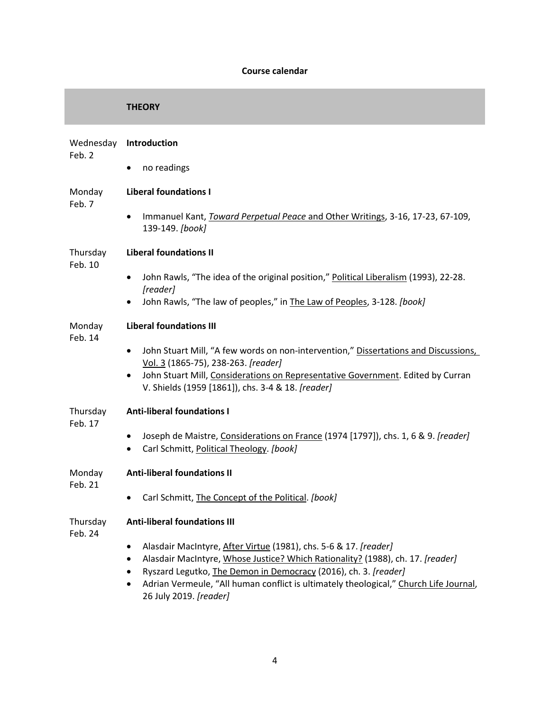# **Course calendar**

|                     | <b>THEORY</b>                                                                                                                                                                                                                                                                |
|---------------------|------------------------------------------------------------------------------------------------------------------------------------------------------------------------------------------------------------------------------------------------------------------------------|
| Wednesday<br>Feb. 2 | Introduction                                                                                                                                                                                                                                                                 |
|                     | no readings<br>٠                                                                                                                                                                                                                                                             |
| Monday<br>Feb. 7    | <b>Liberal foundations I</b>                                                                                                                                                                                                                                                 |
|                     | Immanuel Kant, Toward Perpetual Peace and Other Writings, 3-16, 17-23, 67-109,<br>٠<br>139-149. [book]                                                                                                                                                                       |
| Thursday<br>Feb. 10 | <b>Liberal foundations II</b>                                                                                                                                                                                                                                                |
|                     | John Rawls, "The idea of the original position," Political Liberalism (1993), 22-28.<br>٠<br>[reader]<br>John Rawls, "The law of peoples," in The Law of Peoples, 3-128. [book]                                                                                              |
| Monday<br>Feb. 14   | <b>Liberal foundations III</b>                                                                                                                                                                                                                                               |
|                     | John Stuart Mill, "A few words on non-intervention," Dissertations and Discussions,<br>٠<br>Vol. 3 (1865-75), 238-263. [reader]<br>John Stuart Mill, Considerations on Representative Government. Edited by Curran<br>٠<br>V. Shields (1959 [1861]), chs. 3-4 & 18. [reader] |
| Thursday<br>Feb. 17 | <b>Anti-liberal foundations I</b>                                                                                                                                                                                                                                            |
|                     | Joseph de Maistre, Considerations on France (1974 [1797]), chs. 1, 6 & 9. [reader]<br>٠<br>Carl Schmitt, Political Theology. [book]                                                                                                                                          |
| Monday<br>Feb. 21   | <b>Anti-liberal foundations II</b>                                                                                                                                                                                                                                           |
|                     | Carl Schmitt, The Concept of the Political. [book]                                                                                                                                                                                                                           |
| Thursday<br>Feb. 24 | <b>Anti-liberal foundations III</b>                                                                                                                                                                                                                                          |
|                     | Alasdair MacIntyre, After Virtue (1981), chs. 5-6 & 17. [reader]<br>$\bullet$<br>Alasdair MacIntyre, Whose Justice? Which Rationality? (1988), ch. 17. [reader]<br>٠                                                                                                         |
|                     | Ryszard Legutko, The Demon in Democracy (2016), ch. 3. [reader]<br>٠<br>Adrian Vermeule, "All human conflict is ultimately theological," Church Life Journal,<br>$\bullet$<br>26 July 2019. [reader]                                                                         |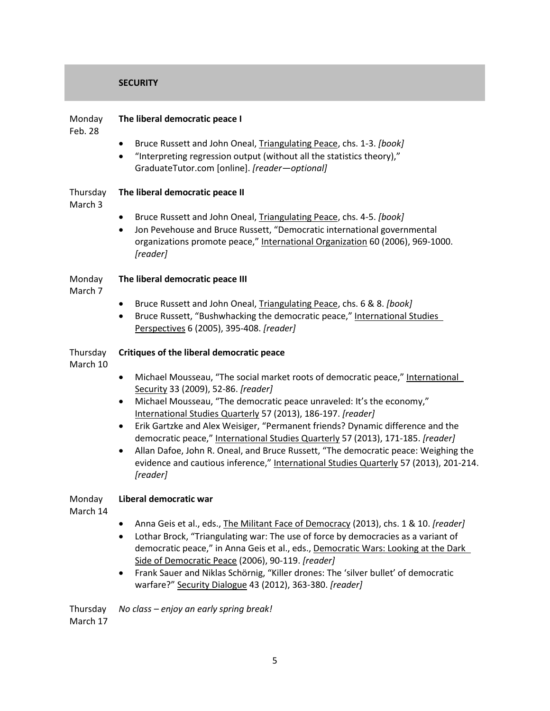### **SECURITY**

### Monday **The liberal democratic peace I**

Feb. 28

• Bruce Russett and John Oneal, Triangulating Peace, chs. 1-3. *[book]* • "Interpreting regression output (without all the statistics theory)," GraduateTutor.com [online]. *[reader—optional]*

#### Thursday **The liberal democratic peace II**

March 3

- Bruce Russett and John Oneal, Triangulating Peace, chs. 4-5. *[book]*
- Jon Pevehouse and Bruce Russett, "Democratic international governmental organizations promote peace," International Organization 60 (2006), 969-1000. *[reader]*

#### Monday **The liberal democratic peace III**

March 7

- Bruce Russett and John Oneal, Triangulating Peace, chs. 6 & 8. *[book]*
- Bruce Russett, "Bushwhacking the democratic peace," International Studies Perspectives 6 (2005), 395-408. *[reader]*

#### Thursday **Critiques of the liberal democratic peace**

March 10

- Michael Mousseau, "The social market roots of democratic peace," International Security 33 (2009), 52-86. *[reader]*
- Michael Mousseau, "The democratic peace unraveled: It's the economy," International Studies Quarterly 57 (2013), 186-197. *[reader]*
- Erik Gartzke and Alex Weisiger, "Permanent friends? Dynamic difference and the democratic peace," International Studies Quarterly 57 (2013), 171-185. *[reader]*
- Allan Dafoe, John R. Oneal, and Bruce Russett, "The democratic peace: Weighing the evidence and cautious inference," International Studies Quarterly 57 (2013), 201-214. *[reader]*

#### Monday **Liberal democratic war**

March 14

- Anna Geis et al., eds., The Militant Face of Democracy (2013), chs. 1 & 10. *[reader]*
- Lothar Brock, "Triangulating war: The use of force by democracies as a variant of democratic peace," in Anna Geis et al., eds., Democratic Wars: Looking at the Dark Side of Democratic Peace (2006), 90-119. *[reader]*
- Frank Sauer and Niklas Schörnig, "Killer drones: The 'silver bullet' of democratic warfare?" Security Dialogue 43 (2012), 363-380. *[reader]*

Thursday March 17 *No class – enjoy an early spring break!*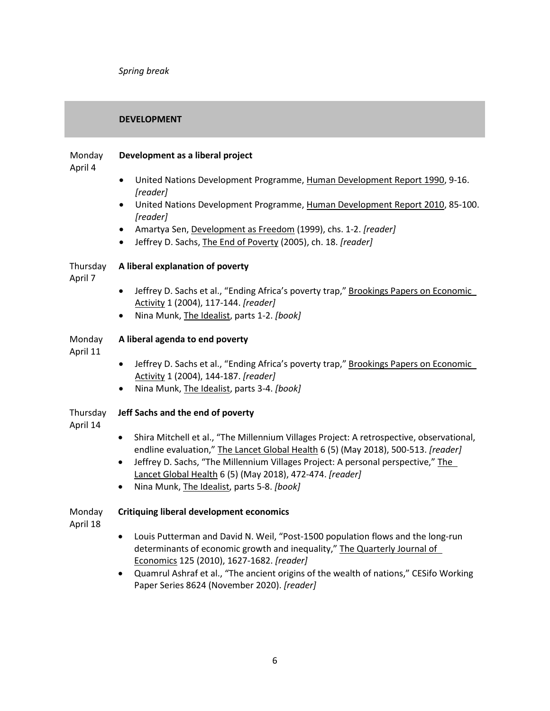### **DEVELOPMENT**

#### Monday **Development as a liberal project**

April 4

- United Nations Development Programme, Human Development Report 1990, 9-16. *[reader]*
- United Nations Development Programme, Human Development Report 2010, 85-100. *[reader]*
- Amartya Sen, Development as Freedom (1999), chs. 1-2. *[reader]*
- Jeffrey D. Sachs, The End of Poverty (2005), ch. 18. *[reader]*

#### Thursday **A liberal explanation of poverty**

April 7

- Jeffrey D. Sachs et al., "Ending Africa's poverty trap," Brookings Papers on Economic Activity 1 (2004), 117-144. *[reader]*
- Nina Munk, The Idealist, parts 1-2. *[book]*

#### Monday **A liberal agenda to end poverty**

April 11

- Jeffrey D. Sachs et al., "Ending Africa's poverty trap," Brookings Papers on Economic Activity 1 (2004), 144-187. *[reader]*
- Nina Munk, The Idealist, parts 3-4. *[book]*

#### Thursday **Jeff Sachs and the end of poverty**

April 14

- Shira Mitchell et al., "The Millennium Villages Project: A retrospective, observational, endline evaluation," The Lancet Global Health 6 (5) (May 2018), 500-513. *[reader]*
- Jeffrey D. Sachs, "The Millennium Villages Project: A personal perspective," The Lancet Global Health 6 (5) (May 2018), 472-474. *[reader]*
- Nina Munk, The Idealist, parts 5-8. *[book]*

#### Monday **Critiquing liberal development economics**

April 18

- Louis Putterman and David N. Weil, "Post-1500 population flows and the long-run determinants of economic growth and inequality," The Quarterly Journal of Economics 125 (2010), 1627-1682. *[reader]*
- Quamrul Ashraf et al., "The ancient origins of the wealth of nations," CESifo Working Paper Series 8624 (November 2020). *[reader]*